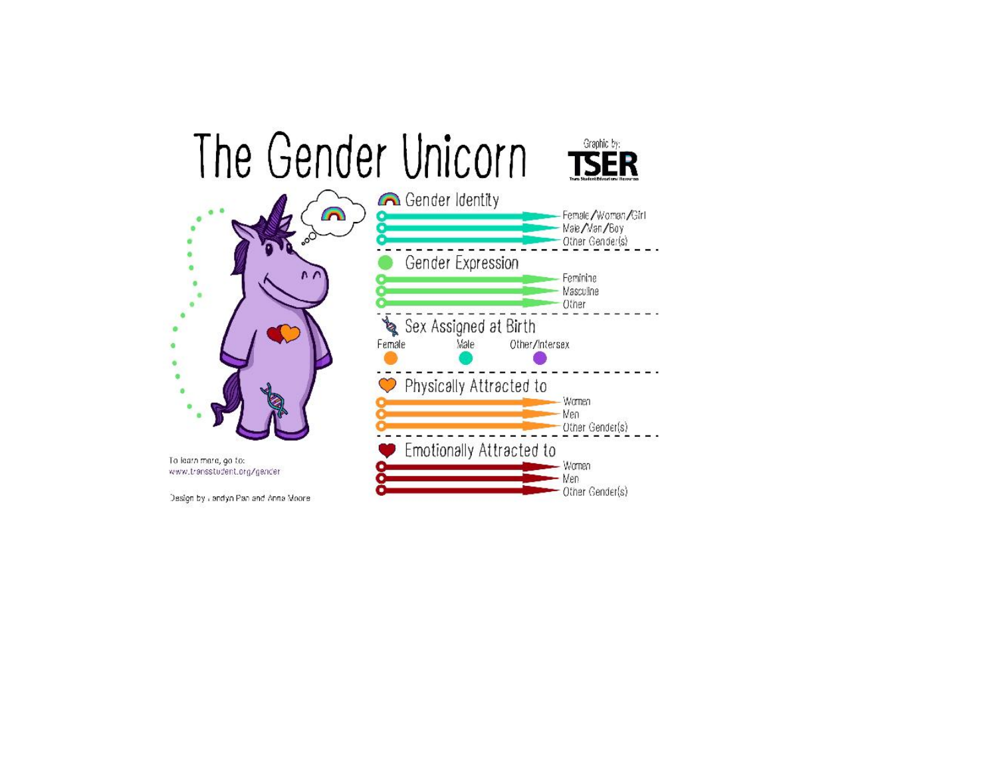